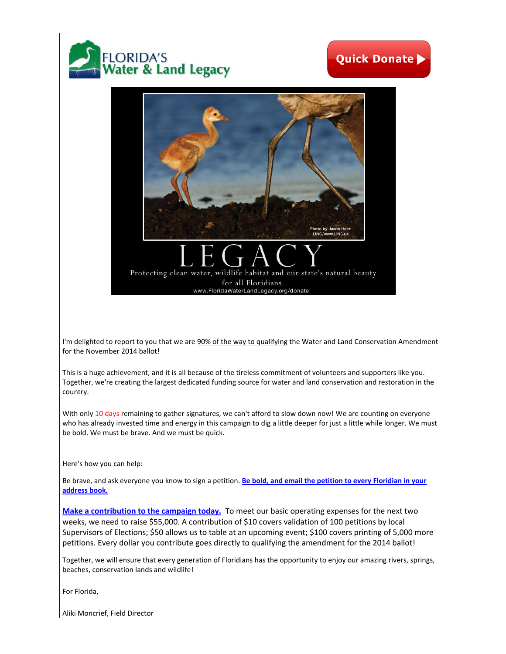

## **Quick Donate**



I'm delighted to report to you that we are 90% of the way to qualifying the Water and Land Conservation Amendment for the November 2014 ballot!

This is a huge achievement, and it is all because of the tireless commitment of volunteers and supporters like you. Together, we're creating the largest dedicated funding source for water and land conservation and restoration in the country.

With only 10 days remaining to gather signatures, we can't afford to slow down now! We are counting on everyone who has already invested time and energy in this campaign to dig a little deeper for just a little while longer. We must be bold. We must be brave. And we must be quick.

Here's how you can help:

Be brave, and ask everyone you know to sign a petition. **[Be bold, and email the petition to every Floridian in your](http://floridawaterlandlegacy.org/pdf/598941flwllonline.pdf)  [address book.](http://floridawaterlandlegacy.org/pdf/598941flwllonline.pdf)**

**[Make a contribution to the campaign today.](http://floridawaterlandlegacy.org/donate)** To meet our basic operating expenses for the next two weeks, we need to raise \$55,000. A contribution of \$10 covers validation of 100 petitions by local Supervisors of Elections; \$50 allows us to table at an upcoming event; \$100 covers printing of 5,000 more petitions. Every dollar you contribute goes directly to qualifying the amendment for the 2014 ballot!

Together, we will ensure that every generation of Floridians has the opportunity to enjoy our amazing rivers, springs, beaches, conservation lands and wildlife!

For Florida,

Aliki Moncrief, Field Director